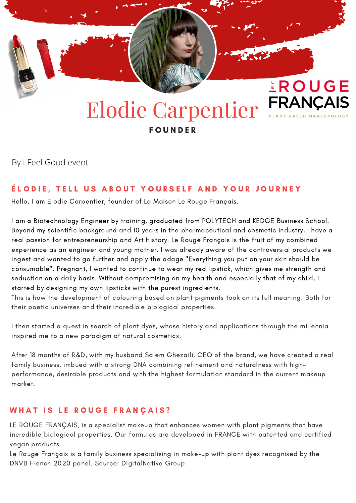

# Elodie Carpentier FRANÇAIS **FOUNDER**

By I Feel [Good](https://www.ifeelgood-event.com/) event

## ÉLODIE, TELL US ABOUT YOURSELF AND YOUR JOURNEY

Hello, I am Elodie Carpentier, founder of La Maison Le Rouge Français.

I am a Biotechnology Engineer by training, graduated from POLYTECH and KEDGE Business School. Beyond my scientific background and 10 years in the pharmaceutical and cosmetic industry, I have a real passion for entrepreneurship and Art History. Le Rouge Français is the fruit of my combined experience as an engineer and young mother. I was already aware of the controversial products we ingest and wanted to go further and apply the adage "Everything you put on your skin should be consumable". Pregnant, I wanted to continue to wear my red lipstick, which gives me strength and seduction on a daily basis. Without compromising on my health and especially that of my child, I started by designing my own lipsticks with the purest ingredients.

This is how the development of colouring based on plant pigments took on its full meaning. Both for their poetic universes and their incredible biological properties.

I then started a quest in search of plant dyes, whose history and applications through the millennia inspired me to a new paradigm of natural cosmetics.

After 18 months of R&D, with my husband Salem Ghezaili, CEO of the brand, we have created a real family business, imbued with a strong DNA combining refinement and naturalness with highperformance, desirable products and with the highest formulation standard in the current makeup market.

# WHAT IS LE ROUGE FRANÇAIS?

LE ROUGE FRANÇAIS, is a specialist makeup that enhances women with plant pigments that have incredible biological properties. Our formulas are developed in FRANCE with patented and certified vegan products.

Le Rouge Français is a family business specialising in make-up with plant dyes recognised by the DNVB French 2020 panel. Source: DigitalNative Group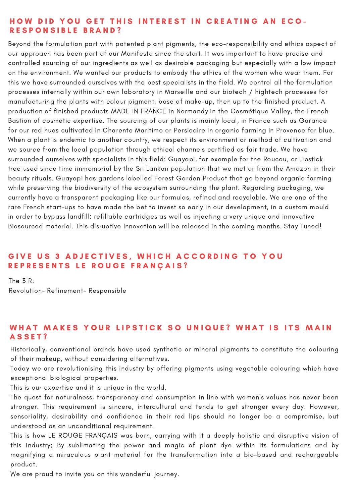### HOW DID YOU GET THIS INTEREST IN CREATING AN ECO-RESPONSIBLE BRAND?

Beyond the formulation part with patented plant pigments, the eco-responsibility and ethics aspect of our approach has been part of our Manifesto since the start. It was important to have precise and controlled sourcing of our ingredients as well as desirable packaging but especially with a low impact on the environment. We wanted our products to embody the ethics of the women who wear them. For this we have surrounded ourselves with the best specialists in the field. We control all the formulation processes internally within our own laboratory in Marseille and our biotech / hightech processes for manufacturing the plants with colour pigment, base of make-up, then up to the finished product. A production of finished products MADE IN FRANCE in Normandy in the Cosmétique Valley, the French Bastion of cosmetic expertise. The sourcing of our plants is mainly local, in France such as Garance for our red hues cultivated in Charente Maritime or Persicaire in organic farming in Provence for blue. When a plant is endemic to another country, we respect its environment or method of cultivation and we source from the local population through ethical channels certified as fair trade. We have surrounded ourselves with specialists in this field: Guayapi, for example for the Roucou, or Lipstick tree used since time immemorial by the Sri Lankan population that we met or from the Amazon in their beauty rituals. Guayapi has gardens labelled Forest Garden Product that go beyond organic farming while preserving the biodiversity of the ecosystem surrounding the plant. Regarding packaging, we currently have a transparent packaging like our formulas, refined and recyclable. We are one of the rare French start-ups to have made the bet to invest so early in our development, in a custom mould in order to bypass landfill: refillable cartridges as well as injecting a very unique and innovative Biosourced material. This disruptive Innovation will be released in the coming months. Stay Tuned!

## GIVE US 3 ADJECTIVES, WHICH ACCORDING TO YOU REPRESENTS LE ROUGE FRANÇAIS?

The 3 R: Revolution- Refinement- Responsible

## WHAT MAKES YOUR LIPSTICK SO UNIQUE? WHAT IS ITS MAIN A S S E T ?

Historically, conventional brands have used synthetic or mineral pigments to constitute the colouring of their makeup, without considering alternatives.

Today we are revolutionising this industry by offering pigments using vegetable colouring which have exceptional biological properties.

This is our expertise and it is unique in the world.

The quest for naturalness, transparency and consumption in line with women's values has never been stronger. This requirement is sincere, intercultural and tends to get stronger every day. However, sensoriality, desirability and confidence in their red lips should no longer be a compromise, but understood as an unconditional requirement.

This is how LE ROUGE FRANÇAIS was born, carrying with it a deeply holistic and disruptive vision of this industry; By sublimating the power and magic of plant dye within its formulations and by magnifying a miraculous plant material for the transformation into a bio-based and rechargeable product.

We are proud to invite you on this wonderful journey.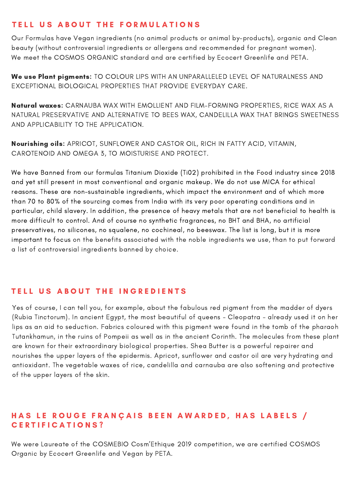# TELL US ABOUT THE FORMULATIONS

Our Formulas have Vegan ingredients (no animal products or animal by-products), organic and Clean beauty (without controversial ingredients or allergens and recommended for pregnant women). We meet the COSMOS ORGANIC standard and are certified by Ecocert Greenlife and PETA.

We use Plant pigments: TO COLOUR LIPS WITH AN UNPARALLELED LEVEL OF NATURALNESS AND EXCEPTIONAL BIOLOGICAL PROPERTIES THAT PROVIDE EVERYDAY CARE.

Natural waxes: CARNAUBA WAX WITH EMOLLIENT AND FILM-FORMING PROPERTIES, RICE WAX AS A NATURAL PRESERVATIVE AND ALTERNATIVE TO BEES WAX, CANDELILLA WAX THAT BRINGS SWEETNESS AND APPLICABILITY TO THE APPLICATION.

Nourishing oils: APRICOT, SUNFLOWER AND CASTOR OIL, RICH IN FATTY ACID, VITAMIN, CAROTENOID AND OMEGA 3, TO MOISTURISE AND PROTECT.

We have Banned from our formulas Titanium Dioxide (Ti02) prohibited in the Food industry since 2018 and yet still present in most conventional and organic makeup. We do not use MICA for ethical reasons. These are non-sustainable ingredients, which impact the environment and of which more than 70 to 80% of the sourcing comes from India with its very poor operating conditions and in particular, child slavery. In addition, the presence of heavy metals that are not beneficial to health is more difficult to control. And of course no synthetic fragrances, no BHT and BHA, no artificial preservatives, no silicones, no squalene, no cochineal, no beeswax. The list is long, but it is more important to focus on the benefits associated with the noble ingredients we use, than to put forward a list of controversial ingredients banned by choice.

## TELL US ABOUT THE INGREDIENTS

Yes of course, I can tell you, for example, about the fabulous red pigment from the madder of dyers (Rubia Tinctorum). In ancient Egypt, the most beautiful of queens - Cleopatra - already used it on her lips as an aid to seduction. Fabrics coloured with this pigment were found in the tomb of the pharaoh Tutankhamun, in the ruins of Pompeii as well as in the ancient Corinth. The molecules from these plant are known for their extraordinary biological properties. Shea Butter is a powerful repairer and nourishes the upper layers of the epidermis. Apricot, sunflower and castor oil are very hydrating and antioxidant. The vegetable waxes of rice, candelilla and carnauba are also softening and protective of the upper layers of the skin.

## HAS LE ROUGE FRANÇAIS BEEN AWARDED, HAS LABELS / CERTIFICATIONS?

We were Laureate of the COSMEBIO Cosm'Ethique 2019 competition, we are certified COSMOS Organic by Ecocert Greenlife and Vegan by PETA.